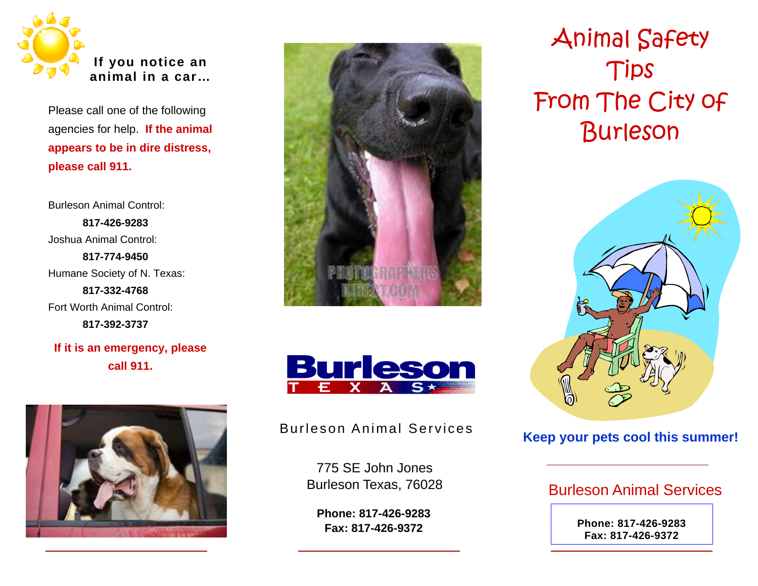

Please call one of the following agencies for help. **If the animal appears to be in dire distress, please call 911.**

Burleson Animal Control: **817-426-9283**Joshua Animal Control: **817-774-9450**Humane Society of N. Texas: **817-332-4768**Fort Worth Animal Control: **817-392-3737**

**If it is an emergency, please call 911.**







# Burleson Animal Services **Keep your pets cool this summer!**

775 SE John Jones Burleson Texas, 76028

**Phone: 817-426-9283 Fax: 817-426-9372**

Animal Safety Tips From The City of Burleson



# Burleson Animal Services

**Phone: 817-426-9283 Fax: 817-426-9372**